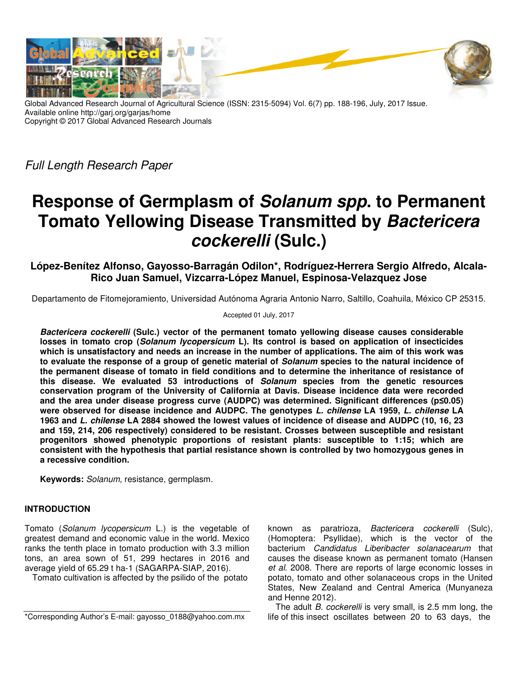

Global Advanced Research Journal of Agricultural Science (ISSN: 2315-5094) Vol. 6(7) pp. 188-196, July, 2017 Issue. Available online http://garj.org/garjas/home Copyright © 2017 Global Advanced Research Journals

Full Length Research Paper

# **Response of Germplasm of Solanum spp. to Permanent Tomato Yellowing Disease Transmitted by Bactericera cockerelli (Sulc.)**

**López-Benítez Alfonso, Gayosso-Barragán Odilon\*, Rodríguez-Herrera Sergio Alfredo, Alcala-Rico Juan Samuel, Vizcarra-López Manuel, Espinosa-Velazquez Jose** 

Departamento de Fitomejoramiento, Universidad Autónoma Agraria Antonio Narro, Saltillo, Coahuila, México CP 25315.

Accepted 01 July, 2017

**Bactericera cockerelli (Sulc.) vector of the permanent tomato yellowing disease causes considerable losses in tomato crop (Solanum lycopersicum L). Its control is based on application of insecticides which is unsatisfactory and needs an increase in the number of applications. The aim of this work was to evaluate the response of a group of genetic material of Solanum species to the natural incidence of the permanent disease of tomato in field conditions and to determine the inheritance of resistance of this disease. We evaluated 53 introductions of Solanum species from the genetic resources conservation program of the University of California at Davis. Disease incidence data were recorded and the area under disease progress curve (AUDPC) was determined. Significant differences (p≤0.05) were observed for disease incidence and AUDPC. The genotypes L. chilense LA 1959, L. chilense LA 1963 and L. chilense LA 2884 showed the lowest values of incidence of disease and AUDPC (10, 16, 23 and 159, 214, 206 respectively) considered to be resistant. Crosses between susceptible and resistant progenitors showed phenotypic proportions of resistant plants: susceptible to 1:15; which are consistent with the hypothesis that partial resistance shown is controlled by two homozygous genes in a recessive condition.** 

**Keywords:** Solanum, resistance, germplasm.

## **INTRODUCTION**

Tomato (Solanum lycopersicum L.) is the vegetable of greatest demand and economic value in the world. Mexico ranks the tenth place in tomato production with 3.3 million tons, an area sown of 51, 299 hectares in 2016 and average yield of 65.29 t ha-1 (SAGARPA-SIAP, 2016).

Tomato cultivation is affected by the psilido of the potato

known as paratrioza, Bactericera cockerelli (Sulc), (Homoptera: Psyllidae), which is the vector of the bacterium Candidatus Liberibacter solanacearum that causes the disease known as permanent tomato (Hansen et al. 2008. There are reports of large economic losses in potato, tomato and other solanaceous crops in the United States, New Zealand and Central America (Munyaneza and Henne 2012).

The adult B. cockerelli is very small, is 2.5 mm long, the life of this insect oscillates between 20 to 63 days, the

<sup>\*</sup>Corresponding Author's E-mail: gayosso\_0188@yahoo.com.mx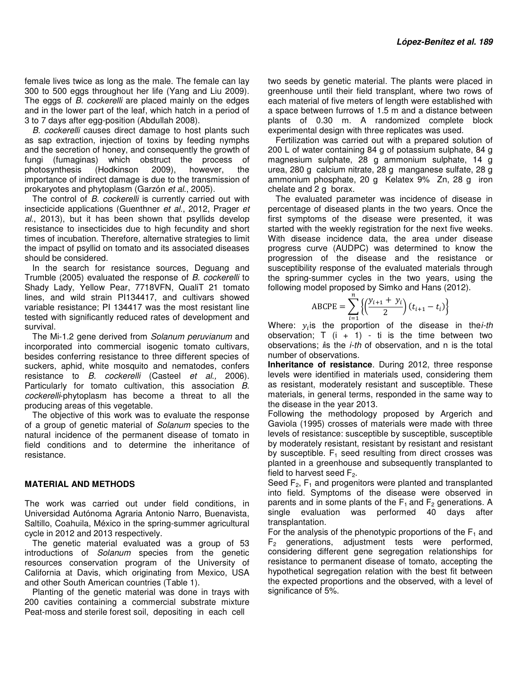female lives twice as long as the male. The female can lay 300 to 500 eggs throughout her life (Yang and Liu 2009). The eggs of B. cockerelli are placed mainly on the edges and in the lower part of the leaf, which hatch in a period of 3 to 7 days after egg-position (Abdullah 2008).

B. cockerelli causes direct damage to host plants such as sap extraction, injection of toxins by feeding nymphs and the secretion of honey, and consequently the growth of fungi (fumaginas) which obstruct the process of photosynthesis (Hodkinson 2009), however, the importance of indirect damage is due to the transmission of prokaryotes and phytoplasm (Garzón et al., 2005).

The control of B. cockerelli is currently carried out with insecticide applications (Guenthner et al., 2012, Prager et al., 2013), but it has been shown that psyllids develop resistance to insecticides due to high fecundity and short times of incubation. Therefore, alternative strategies to limit the impact of psyllid on tomato and its associated diseases should be considered.

In the search for resistance sources, Deguang and Trumble (2005) evaluated the response of B. cockerelli to Shady Lady, Yellow Pear, 7718VFN, QualiT 21 tomato lines, and wild strain PI134417, and cultivars showed variable resistance; PI 134417 was the most resistant line tested with significantly reduced rates of development and survival.

The Mi-1.2 gene derived from Solanum peruvianum and incorporated into commercial isogenic tomato cultivars, besides conferring resistance to three different species of suckers, aphid, white mosquito and nematodes, confers resistance to B. cockerelli (Casteel et al., 2006). Particularly for tomato cultivation, this association B. cockerelli-phytoplasm has become a threat to all the producing areas of this vegetable.

The objective of this work was to evaluate the response of a group of genetic material of Solanum species to the natural incidence of the permanent disease of tomato in field conditions and to determine the inheritance of resistance.

### **MATERIAL AND METHODS**

The work was carried out under field conditions, in Universidad Autónoma Agraria Antonio Narro, Buenavista, Saltillo, Coahuila, México in the spring-summer agricultural cycle in 2012 and 2013 respectively.

The genetic material evaluated was a group of 53 introductions of Solanum species from the genetic resources conservation program of the University of California at Davis, which originating from Mexico, USA and other South American countries (Table 1).

Planting of the genetic material was done in trays with 200 cavities containing a commercial substrate mixture Peat-moss and sterile forest soil, depositing in each cell

two seeds by genetic material. The plants were placed in greenhouse until their field transplant, where two rows of each material of five meters of length were established with a space between furrows of 1.5 m and a distance between plants of 0.30 m. A randomized complete block experimental design with three replicates was used.

Fertilization was carried out with a prepared solution of 200 L of water containing 84 g of potassium sulphate, 84 g magnesium sulphate, 28 g ammonium sulphate, 14 g urea, 280 g calcium nitrate, 28 g manganese sulfate, 28 g ammonium phosphate, 20 g Kelatex 9% Zn, 28 g iron chelate and 2 g borax.

The evaluated parameter was incidence of disease in percentage of diseased plants in the two years. Once the first symptoms of the disease were presented, it was started with the weekly registration for the next five weeks. With disease incidence data, the area under disease progress curve (AUDPC) was determined to know the progression of the disease and the resistance or susceptibility response of the evaluated materials through the spring-summer cycles in the two years, using the following model proposed by Simko and Hans (2012).

$$
ABCDE = \sum_{i=1}^{n} \left\{ \left( \frac{y_{i+1} + y_i}{2} \right) (t_{i+1} - t_i) \right\}
$$

Where:  $y_i$  is the proportion of the disease in the *i*-th observation;  $T$  (i + 1) - ti is the time between two observations; is the *i-th* of observation, and n is the total number of observations.

**Inheritance of resistance**. During 2012, three response levels were identified in materials used, considering them as resistant, moderately resistant and susceptible. These materials, in general terms, responded in the same way to the disease in the year 2013.

Following the methodology proposed by Argerich and Gaviola (1995) crosses of materials were made with three levels of resistance: susceptible by susceptible, susceptible by moderately resistant, resistant by resistant and resistant by susceptible.  $F_1$  seed resulting from direct crosses was planted in a greenhouse and subsequently transplanted to field to harvest seed  $F<sub>2</sub>$ .

Seed  $F_2$ ,  $F_1$  and progenitors were planted and transplanted into field. Symptoms of the disease were observed in parents and in some plants of the  $F_1$  and  $F_2$  generations. A single evaluation was performed 40 days after transplantation.

For the analysis of the phenotypic proportions of the  $F_1$  and  $F<sub>2</sub>$  generations, adjustment tests were performed, considering different gene segregation relationships for resistance to permanent disease of tomato, accepting the hypothetical segregation relation with the best fit between the expected proportions and the observed, with a level of significance of 5%.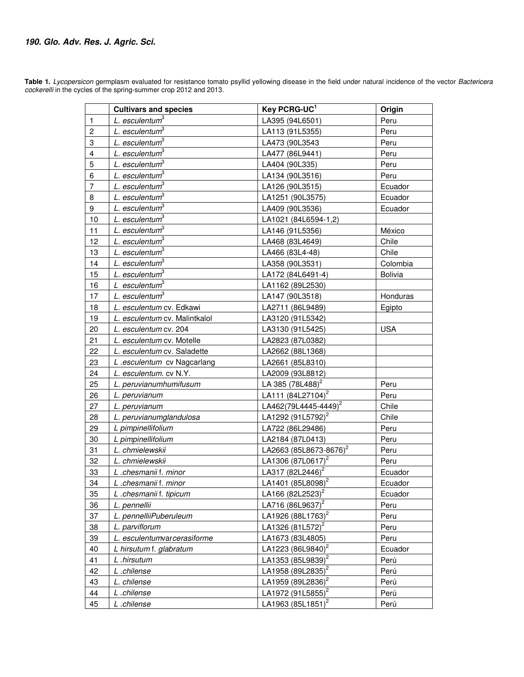**Table 1.** Lycopersicon germplasm evaluated for resistance tomato psyllid yellowing disease in the field under natural incidence of the vector Bactericera cockerelli in the cycles of the spring-summer crop 2012 and 2013.

|                         | <b>Cultivars and species</b>  | Key PCRG-UC1                       | Origin         |
|-------------------------|-------------------------------|------------------------------------|----------------|
| $\mathbf{1}$            | L. esculentum <sup>3</sup>    | LA395 (94L6501)                    | Peru           |
| $\overline{c}$          | L. esculentum <sup>3</sup>    | LA113 (91L5355)                    | Peru           |
| 3                       | L. esculentum <sup>3</sup>    | LA473 (90L3543                     | Peru           |
| $\overline{\mathbf{4}}$ | $L.$ esculentum $3$           | LA477 (86L9441)                    | Peru           |
| 5                       | $L.$ esculentum $3$           | LA404 (90L335)                     | Peru           |
| 6                       | L. esculentum <sup>3</sup>    | LA134 (90L3516)                    | Peru           |
| $\overline{7}$          | L. esculentum <sup>3</sup>    | LA126 (90L3515)                    | Ecuador        |
| 8                       | L. esculentum <sup>3</sup>    | LA1251 (90L3575)                   | Ecuador        |
| 9                       | L. esculentum <sup>3</sup>    | LA409 (90L3536)                    | Ecuador        |
| 10                      | L. esculentum <sup>3</sup>    | LA1021 (84L6594-1,2)               |                |
| 11                      | L. esculentum <sup>3</sup>    | LA146 (91L5356)                    | México         |
| 12                      | L. esculentum <sup>3</sup>    | LA468 (83L4649)                    | Chile          |
| 13                      | L. esculentum <sup>3</sup>    | LA466 (83L4-48)                    | Chile          |
| 14                      | L. esculentum <sup>3</sup>    | LA358 (90L3531)                    | Colombia       |
| 15                      | L. esculentum <sup>3</sup>    | LA172 (84L6491-4)                  | <b>Bolivia</b> |
| 16                      | $L$ esculentum <sup>3</sup>   | LA1162 (89L2530)                   |                |
| 17                      | L. esculentum <sup>3</sup>    | LA147 (90L3518)                    | Honduras       |
| 18                      | L. esculentum cv. Edkawi      | LA2711 (86L9489)                   | Egipto         |
| 19                      | L. esculentum cv. Malintkalol | LA3120 (91L5342)                   |                |
| 20                      | L. esculentum cv. 204         | LA3130 (91L5425)                   | <b>USA</b>     |
| 21                      | L. esculentum cv. Motelle     | LA2823 (87L0382)                   |                |
| 22                      | L. esculentum cv. Saladette   | LA2662 (88L1368)                   |                |
| 23                      | L.esculentum cv Nagcarlang    | LA2661 (85L8310)                   |                |
| 24                      | L. esculentum. cv N.Y.        | LA2009 (93L8812)                   |                |
| 25                      | L. peruvianumhumifusum        | LA 385 (78L488) <sup>2</sup>       | Peru           |
| 26                      | L. peruvianum                 | LA111 (84L27104) <sup>2</sup>      | Peru           |
| 27                      | L. peruvianum                 | LA462(79L4445-4449) <sup>2</sup>   | Chile          |
| 28                      | L. peruvianumglandulosa       | LA1292 (91L5792) <sup>2</sup>      | Chile          |
| 29                      | L pimpinellifolium            | LA722 (86L29486)                   | Peru           |
| 30                      | L pimpinellifolium            | LA2184 (87L0413)                   | Peru           |
| 31                      | L. chmielewskii               | LA2663 (85L8673-8676) <sup>2</sup> | Peru           |
| 32                      | L. chmielewskii               | LA1306 (87L0617) <sup>2</sup>      | Peru           |
| 33                      | L.chesmanii f. minor          | LA317 (82L2446) <sup>2</sup>       | Ecuador        |
| 34                      | L.chesmanii f. minor          | LA1401 (85L8098) <sup>2</sup>      | <b>Ecuador</b> |
| 35                      | L.chesmanii f. tipicum        | LA166 (82L2523) <sup>2</sup>       | Ecuador        |
| 36                      | L. pennellii                  | LA716 (86L9637) <sup>2</sup>       | Peru           |
| 37                      | L. pennelliiPuberuleum        | LA1926 (88L1763) <sup>2</sup>      | Peru           |
| 38                      | L. parviflorum                | LA1326 (81L572) <sup>2</sup>       | Peru           |
| 39                      | L. esculentumvarcerasiforme   | LA1673 (83L4805)                   | Peru           |
| 40                      | L hirsutum f. glabratum       | LA1223 (86L9840) <sup>2</sup>      | Ecuador        |
| 41                      | L .hirsutum                   | LA1353 (85L9839) <sup>2</sup>      | Perú           |
| 42                      | L.chilense                    | LA1958 (89L2835) <sup>2</sup>      | Perú           |
| 43                      | L. chilense                   | LA1959 (89L2836) <sup>2</sup>      | Perú           |
| 44                      | L.chilense                    | LA1972 (91L5855) <sup>2</sup>      | Perú           |
| 45                      | L.chilense                    | LA1963 (85L1851) <sup>2</sup>      | Perú           |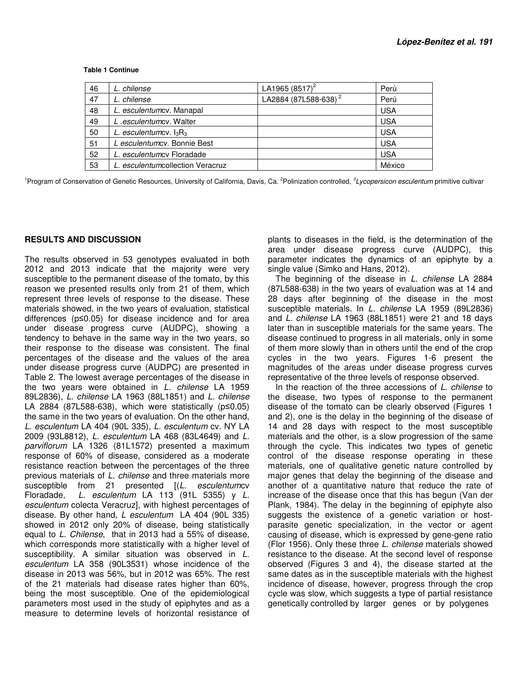| 46 | L. chilense                      | LA1965 $(8517)^2$                | Perú       |
|----|----------------------------------|----------------------------------|------------|
| 47 | L. chilense                      | LA2884 (87L588-638) <sup>2</sup> | Perú       |
| 48 | L. esculentumcv. Manapal         |                                  | <b>USA</b> |
| 49 | L.esculentumcy. Walter           |                                  | <b>USA</b> |
| 50 | L. esculentum cv. $I_3R_3$       |                                  | <b>USA</b> |
| 51 | L esculentumcy. Bonnie Best      |                                  | <b>USA</b> |
| 52 | L. esculentumcv Floradade        |                                  | <b>USA</b> |
| 53 | L. esculentumcollection Veracruz |                                  | México     |

 **Table 1 Continue** 

<sup>1</sup>Program of Conservation of Genetic Resources, University of California, Davis, Ca. <sup>2</sup>Polinization controlled, <sup>3</sup>Lycopersicon esculentum primitive cultivar

### **RESULTS AND DISCUSSION**

The results observed in 53 genotypes evaluated in both 2012 and 2013 indicate that the majority were very susceptible to the permanent disease of the tomato, by this reason we presented results only from 21 of them, which represent three levels of response to the disease. These materials showed, in the two years of evaluation, statistical differences (p≤0.05) for disease incidence and for area under disease progress curve (AUDPC), showing a tendency to behave in the same way in the two years, so their response to the disease was consistent. The final percentages of the disease and the values of the area under disease progress curve (AUDPC) are presented in Table 2. The lowest average percentages of the disease in the two years were obtained in  $L$ . chilense LA 1959 89L2836), L. chilense LA 1963 (88L1851) and L. chilense LA 2884 (87L588-638), which were statistically (p≤0.05) the same in the two years of evaluation. On the other hand, L. esculentum LA 404 (90L 335), L. esculentum cv. NY LA 2009 (93L8812), L. esculentum LA 468 (83L4649) and L. parviflorum LA 1326 (81L1572) presented a maximum response of 60% of disease, considered as a moderate resistance reaction between the percentages of the three previous materials of L. chilense and three materials more susceptible from 21 presented [(L. esculentumcv Floradade, L. esculentum LA 113 (91L 5355) y L. esculentum colecta Veracruz], with highest percentages of disease. By other hand, L esculentum LA 404 (90L 335) showed in 2012 only 20% of disease, being statistically equal to L. Chilense, that in 2013 had a 55% of disease, which corresponds more statistically with a higher level of susceptibility. A similar situation was observed in L. esculentum LA 358 (90L3531) whose incidence of the disease in 2013 was 56%, but in 2012 was 65%. The rest of the 21 materials had disease rates higher than 60%, being the most susceptible. One of the epidemiological parameters most used in the study of epiphytes and as a measure to determine levels of horizontal resistance of

plants to diseases in the field, is the determination of the area under disease progress curve (AUDPC), this parameter indicates the dynamics of an epiphyte by a single value (Simko and Hans, 2012).

The beginning of the disease in L. chilense LA 2884 (87L588-638) in the two years of evaluation was at 14 and 28 days after beginning of the disease in the most susceptible materials. In L. chilense LA 1959 (89L2836) and L. chilense LA 1963 (88L1851) were 21 and 18 days later than in susceptible materials for the same years. The disease continued to progress in all materials, only in some of them more slowly than in others until the end of the crop cycles in the two years. Figures 1-6 present the magnitudes of the areas under disease progress curves representative of the three levels of response observed.

In the reaction of the three accessions of L. chilense to the disease, two types of response to the permanent disease of the tomato can be clearly observed (Figures 1 and 2), one is the delay in the beginning of the disease of 14 and 28 days with respect to the most susceptible materials and the other, is a slow progression of the same through the cycle. This indicates two types of genetic control of the disease response operating in these materials, one of qualitative genetic nature controlled by major genes that delay the beginning of the disease and another of a quantitative nature that reduce the rate of increase of the disease once that this has begun (Van der Plank, 1984). The delay in the beginning of epiphyte also suggests the existence of a genetic variation or hostparasite genetic specialization, in the vector or agent causing of disease, which is expressed by gene-gene ratio (Flor 1956). Only these three L. chilense materials showed resistance to the disease. At the second level of response observed (Figures 3 and 4), the disease started at the same dates as in the susceptible materials with the highest incidence of disease, however, progress through the crop cycle was slow, which suggests a type of partial resistance genetically controlled by larger genes or by polygenes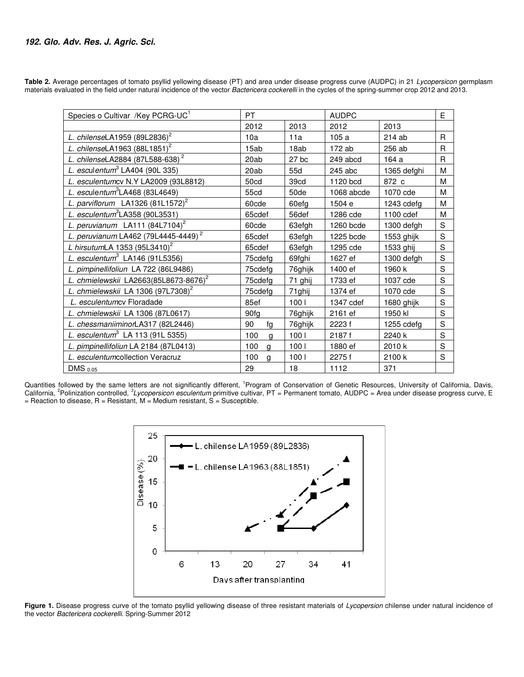| Table 2. Average percentages of tomato psyllid yellowing disease (PT) and area under disease progress curve (AUDPC) in 21 Lycopersicon germplasm     |  |  |  |  |  |
|------------------------------------------------------------------------------------------------------------------------------------------------------|--|--|--|--|--|
| materials evaluated in the field under natural incidence of the vector Bactericera cockerelli in the cycles of the spring-summer crop 2012 and 2013. |  |  |  |  |  |

| Species o Cultivar /Key PCRG-UC <sup>1</sup>      | <b>PT</b>           |                  |            | <b>AUDPC</b> |   |
|---------------------------------------------------|---------------------|------------------|------------|--------------|---|
|                                                   | 2012                | 2013             | 2012       | 2013         |   |
| L. chilenseLA1959 $(89L2836)^2$                   | 10a                 | 11a              | 105a       | 214 ab       | R |
| L. chilenseLA1963 $(88L1851)^2$                   | 15ab                | 18ab             | 172 ab     | 256 ab       | R |
| L. chilenseLA2884 (87L588-638) <sup>2</sup>       | 20ab                | $27$ bc          | 249 abcd   | 164 a        | R |
| L. esculentum <sup>3</sup> LA404 (90L 335)        | 20ab                | 55d              | $245$ abc  | 1365 defghi  | M |
| L. esculentumcv N.Y LA2009 (93L8812)              | 50cd                | 39cd             | 1120 bcd   | 872 c        | M |
| L. esculentum <sup>3</sup> LA468 (83L4649)        | 55cd                | 50de             | 1068 abcde | 1070 cde     | M |
| L. parviflorum LA1326 (81L1572) <sup>2</sup>      | 60cde               | 60efg            | 1504 e     | 1243 cdefg   | M |
| L. esculentum ${}^{3}$ LA358 (90L3531)            | 65cdef              | 56def            | 1286 cde   | 1100 cdef    | M |
| L. peruvianum LA111 (84L7104) <sup>2</sup>        | 60cde               | 63efgh           | 1260 bcde  | 1300 defgh   | S |
| L. peruvianum LA462 (79L4445-4449) <sup>2</sup>   | 65cdef              | 63efgh           | 1225 bcde  | 1553 ghijk   | S |
| L hirsutumLA 1353 $(95L3410)^2$                   | 65cdef              | 63efgh           | 1295 cde   | 1533 ghij    | S |
| L. esculentum $3$ LA146 (91L5356)                 | 75cdefa             | 69fghi           | 1627 ef    | 1300 defah   | S |
| L. pimpinellifoliun LA 722 (86L9486)              | 75cdefg             | 76ghijk          | 1400 ef    | 1960 k       | S |
| L. chmielewskii LA2663(85L8673-8676) <sup>2</sup> | 75cdefg             | 71 ghij          | 1733 ef    | 1037 cde     | S |
| L. chmielewskii LA 1306 (97L7308) <sup>2</sup>    | 75cdefa             | 71ghij           | 1374 ef    | 1070 cde     | S |
| L. esculentumcv Floradade                         | 85ef                | 100 <sub>1</sub> | 1347 cdef  | 1680 ghijk   | S |
| L. chmielewskii LA 1306 (87L0617)                 | 90fg                | 76ghijk          | 2161 ef    | 1950 kl      | S |
| L. chessmaniiminorLA317 (82L2446)                 | 90<br>fg            | 76ghijk          | 2223f      | 1255 cdefg   | S |
| L. esculentum <sup>3</sup> LA 113 (91L 5355)      | 100<br>g            | 100 <sub>1</sub> | 2187f      | 2240 k       | S |
| L. pimpinellifoliun LA 2184 (87L0413)             | 100<br>$\mathbf{q}$ | 100 <sub>1</sub> | 1880 ef    | 2010 k       | S |
| L. esculentumcollection Veracruz                  | 100<br>g            | 100 <sub>1</sub> | 2275f      | 2100 k       | S |
| DMS $_{0.05}$                                     | 29                  | 18               | 1112       | 371          |   |

Quantities followed by the same letters are not significantly different,<br>California, <sup>2</sup>Polinization controlled, <sup>3</sup>Lycopersicon esculentum primitive o = Reaction to disease, R = Resistant, M = Medium resistant, S = Susceptible. by the same letters are not significantly different, <sup>1</sup>Program of Conservation of Genetic Resources, University of California, Davis, primitive cultivar, PT = Permanent tomato, AUDPC = Area under disease progress curve, E



Figure 1. Disease progress curve of the tomato psyllid yellowing disease of three resistant materials of Lycopersion chilense under natural incidence of the vector Bactericera cockerelli. Spring-Summer 2012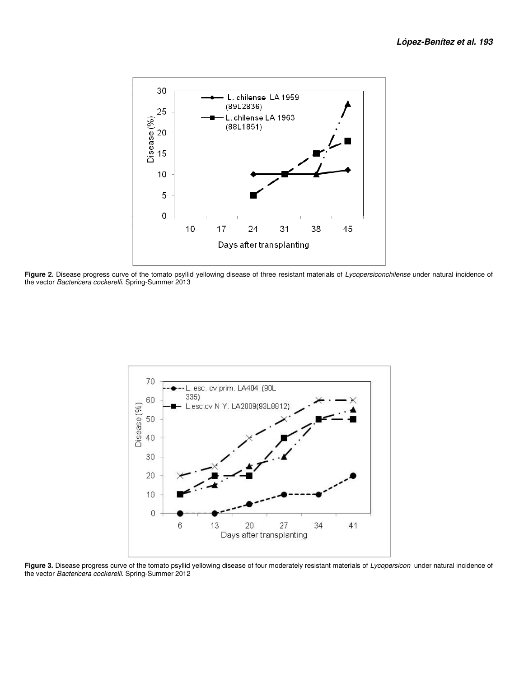

Figure 2. Disease progress curve of the tomato psyllid yellowing disease of three resistant materials of Lycopersiconchilense under natural incidence of the vector Bactericera cockerelli. Spring-Summer 2013



Figure 3. Disease progress curve of the tomato psyllid yellowing disease of four moderately resistant materials of Lycopersicon under natural incidence of the vector Bactericera cockerelli. Spring-Summer 2012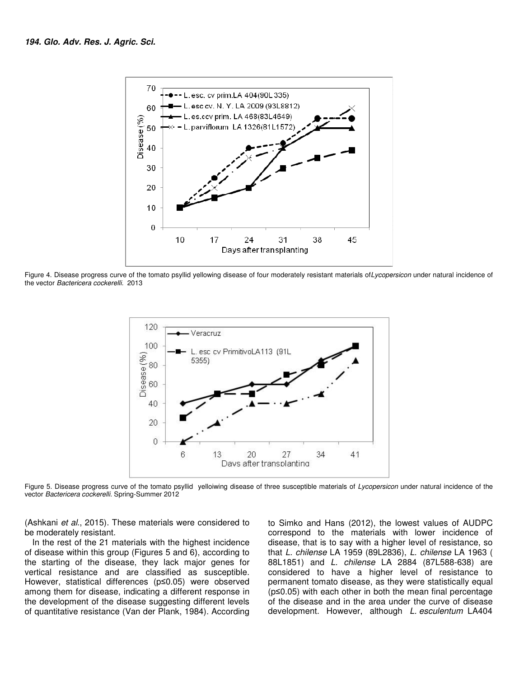

Figure 4. Disease progress curve of the tomato psyllid yellowing disease of four moderately resistant materials of Lycopersicon under natural incidence of the vector Bactericera cockerelli. 2013



Figure 5. Disease progress curve of the tomato psyllid yelloiwing disease of three susceptible materials of Lycopersicon under natural incidence of the vector Bactericera cockerelli. Spring-Summer 2012

(Ashkani et al., 2015). These materials were considered to be moderately resistant.

In the rest of the 21 materials with the highest incidence of disease within this group (Figures 5 and 6), according to the starting of the disease, they lack major genes for vertical resistance and are classified as susceptible. However, statistical differences (p≤0.05) were observed among them for disease, indicating a different response in the development of the disease suggesting different levels of quantitative resistance (Van der Plank, 1984). According

2015). These materials were considered to to Simko and Hans (2012), the lowest values correspond to the materials with lower includes the 21 materials with the highest incidence disease, that is to say with a higher level correspond to the materials with lower incidence of disease, that is to say with a higher level of resistance, so that L. chilense LA 1959 (89L2836), L. chilense LA 1963 ( 88L1851) and L. chilense LA 2884 (87L588 (87L588-638) are considered to have a higher level of resistance to permanent tomato disease, as they were statistically equal (p≤0.05) with each other in both the mean final percentage considered to have a higher level of resistance to<br>permanent tomato disease, as they were statistically equal<br>( $p \le 0.05$ ) with each other in both the mean final percentage<br>of the disease and in the area under the curve o development. However, although L. esculentum LA404 to Simko and Hans (2012), the lowest values of AUDPC to the materials with lower incidence of<br>is to say with a higher level of resistance, so<br>se LA 1959 (89L2836), L. chilense LA 1963 (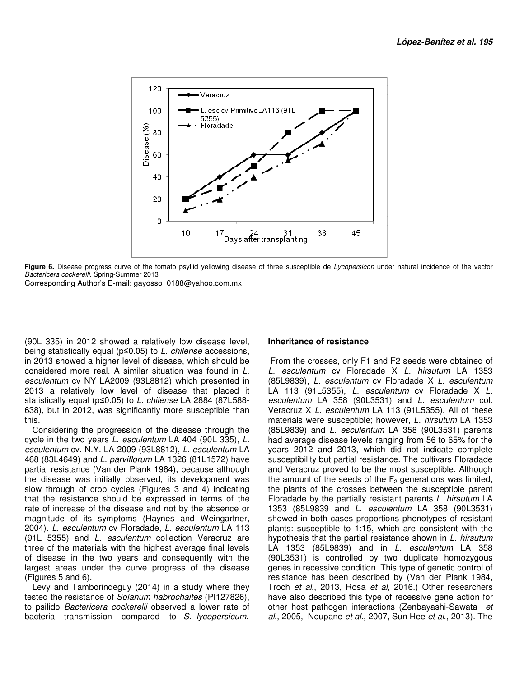

Figure 6. Disease progress curve of the tomato psyllid yellowing disease of three susceptible de Lycopersicon under natural incidence of the vector Bactericera cockerelli. Spring-Summer 2013

Corresponding Author's E-mail: gayosso\_0188@yahoo.com.mx

(90L 335) in 2012 showed a relatively low disease level, (90L 335) in 2012 showed a relatively low disease level,<br>being statistically equal (p≤0.05) to *L. chilense* accessions, in 2013 showed a higher level of disease, which should be in 2013 showed a higher level of disease, which should be<br>considered more real. A similar situation was found in L. esculentum cv NY LA2009 (93L8812) which presented in 2013 a relatively low level of disease that placed it statistically equal (p≤0.05) to *L. chilense* LA 2884 (87L588-638), but in 2012, was significantly more susceptible than this. *m* cv NY LA2009 (93L8812) which presented in<br>relatively low level of disease that placed it<br>y equal (p≤0.05) to *L. chilense* LA 2884 (87L588-

Considering the progression of the disease through the cycle in the two years  $L$ . esculentum LA 404 (90L 335),  $L$ . esculentum cv. N.Y. LA 2009 (93L8812), L. esculentum LA 468 (83L4649) and L. parviflorum LA 1326 (81L1572) have partial resistance (Van der Plank 1984), because although the disease was initially observed, its development was slow through of crop cycles (Figures 3 and 4) indicating that the resistance should be expressed in terms of the rate of increase of the disease and not by the absence or magnitude of its symptoms (Haynes and Weingartner, 2004). L. esculentum cv Floradade, L. esculentum LA 113 (91L 5355) and L. esculentum collection Veracruz are three of the materials with the highest average final levels of disease in the two years and consequently with the largest areas under the curve progress of the disease (Figures 5 and 6). but in 2012, was significantly more susceptible than<br>sidering the progression of the disease through the<br>in the two years L. esculentum LA 404 (90L 335), L. through of crop cycles (Figures 3 and 4) indica<br>the resistance should be expressed in terms of<br>of increase of the disease and not by the absence culentum collection Veracruz are<br>ith the highest average final levels<br>years and consequently with the<br>e curve progress of the disease<br>guy (2014) in a study where they<br>Solanum habrochaites (PI127826),

Levy and Tamborindeguy (2014) in a study where they tested the resistance of Solanum habrochaites (PI127826), to psilido Bactericera cockerelli observed a lower rate of bacterial transmission compared to S. lycopersicum.

### **Inheritance of resistance**

From the crosses, only F1 and F2 seeds were obtained of From the crosses, only F1 and F2 seeds were obtained of L. esculentum cv Floradade X L. hirsutum LA 1353 (85L9839), L. esculentum cv Floradade X L. esculentum LA 113 (91L5355), L. esculentum cv Floradade X L. esculentum LA 358 (90L3531) and L. esculentum col. Veracruz X L. esculentum LA 113 (91L5355). All of these materials were susceptible; however, L. hirsutum LA 1353 (85L9839) and L. esculentum LA 358 (90L3531) parents had average disease levels ranging from 56 to 65% for the years 2012 and 2013, which did not indicate complete susceptibility but partial resistance. The cultivars Floradade and Veracruz proved to be the most susceptible. Although (85L9839) and *L. esculentum* LA 358 (90L3531) parents had average disease levels ranging from 56 to 65% for the years 2012 and 2013, which did not indicate complete susceptibility but partial resistance. The cultivars Fl the plants of the crosses between the susceptible parent the plants of the crosses between the susceptible parent<br>Floradade by the partially resistant parents *L. hirsutum* LA 1353 (85L9839 and L. esculentum LA 358 (90L3531) showed in both cases proportions phenotypes of resistant plants: susceptible to 1:15, which are consistent with the hypothesis that the partial resistance shown in L. hirsutum LA 1353 (85L9839) and in *L. esculentum* LA 358 (90L3531) is controlled by two duplicate homozygous genes in recessive condition. This type of genetic control of resistance has been described by (Van der Plank 1984, (90L3531) is controlled by two duplicate homozygous<br>genes in recessive condition. This type of genetic control of<br>resistance has been described by (Van der Plank 1984,<br>Troch *et al.*, 2013, Rosa *et al.*, 2016.) Other rese have also described this type of recessive gene action for have also described this type of recessive gene action for<br>other host pathogen interactions (Zenbayashi-Sawata et al., 2005, Neupane et al., 2007, Sun Hee et al., 2013). The both cases proportions phenotypes of resistant<br>ceptible to 1:15, which are consistent with the<br>that the partial resistance shown in *L. hirsutum*